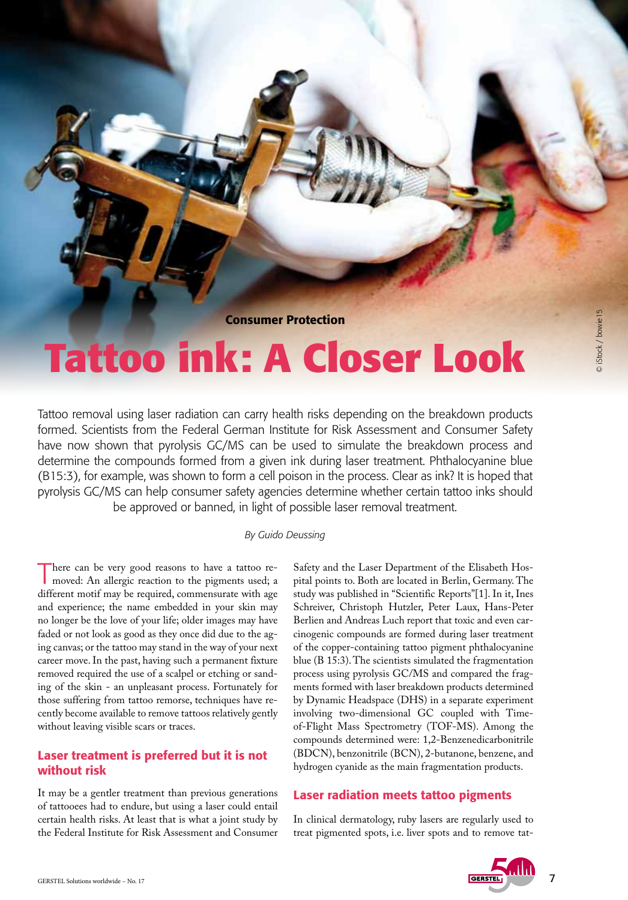Consumer Protection

# **Tattoo ink: A Closer Look**

Tattoo removal using laser radiation can carry health risks depending on the breakdown products formed. Scientists from the Federal German Institute for Risk Assessment and Consumer Safety have now shown that pyrolysis GC/MS can be used to simulate the breakdown process and determine the compounds formed from a given ink during laser treatment. Phthalocyanine blue (B15:3), for example, was shown to form a cell poison in the process. Clear as ink? It is hoped that pyrolysis GC/MS can help consumer safety agencies determine whether certain tattoo inks should be approved or banned, in light of possible laser removal treatment.

#### *By Guido Deussing*

There can be very good reasons to have a tattoo re-moved: An allergic reaction to the pigments used; a different motif may be required, commensurate with age and experience; the name embedded in your skin may no longer be the love of your life; older images may have faded or not look as good as they once did due to the aging canvas; or the tattoo may stand in the way of your next career move. In the past, having such a permanent fixture removed required the use of a scalpel or etching or sanding of the skin - an unpleasant process. Fortunately for those suffering from tattoo remorse, techniques have recently become available to remove tattoos relatively gently without leaving visible scars or traces.

## Laser treatment is preferred but it is not without risk

It may be a gentler treatment than previous generations of tattooees had to endure, but using a laser could entail certain health risks. At least that is what a joint study by the Federal Institute for Risk Assessment and Consumer Safety and the Laser Department of the Elisabeth Hospital points to. Both are located in Berlin, Germany. The study was published in "Scientific Reports"[1]. In it, Ines Schreiver, Christoph Hutzler, Peter Laux, Hans-Peter Berlien and Andreas Luch report that toxic and even carcinogenic compounds are formed during laser treatment of the copper-containing tattoo pigment phthalocyanine blue (B 15:3). The scientists simulated the fragmentation process using pyrolysis GC/MS and compared the fragments formed with laser breakdown products determined by Dynamic Headspace (DHS) in a separate experiment involving two-dimensional GC coupled with Timeof-Flight Mass Spectrometry (TOF-MS). Among the compounds determined were: 1,2-Benzenedicarbonitrile (BDCN), benzonitrile (BCN), 2-butanone, benzene, and hydrogen cyanide as the main fragmentation products.

## Laser radiation meets tattoo pigments

In clinical dermatology, ruby lasers are regularly used to treat pigmented spots, i.e. liver spots and to remove tat-

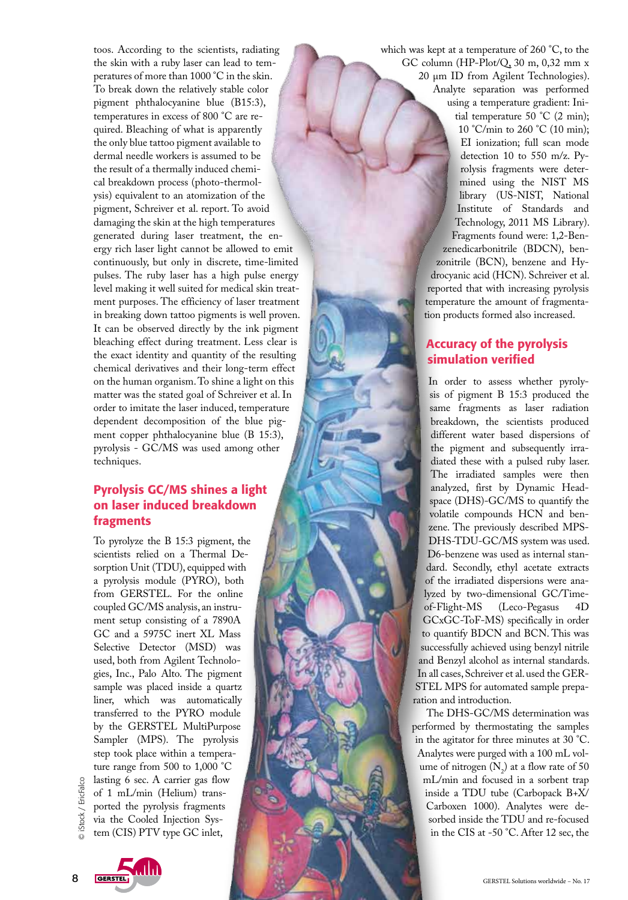toos. According to the scientists, radiating the skin with a ruby laser can lead to temperatures of more than 1000 °C in the skin. To break down the relatively stable color pigment phthalocyanine blue (B15:3), temperatures in excess of 800 °C are required. Bleaching of what is apparently the only blue tattoo pigment available to dermal needle workers is assumed to be the result of a thermally induced chemical breakdown process (photo-thermolysis) equivalent to an atomization of the pigment, Schreiver et al. report. To avoid damaging the skin at the high temperatures generated during laser treatment, the energy rich laser light cannot be allowed to emit continuously, but only in discrete, time-limited pulses. The ruby laser has a high pulse energy level making it well suited for medical skin treatment purposes. The efficiency of laser treatment in breaking down tattoo pigments is well proven. It can be observed directly by the ink pigment bleaching effect during treatment. Less clear is the exact identity and quantity of the resulting chemical derivatives and their long-term effect on the human organism. To shine a light on this matter was the stated goal of Schreiver et al. In order to imitate the laser induced, temperature dependent decomposition of the blue pigment copper phthalocyanine blue (B 15:3), pyrolysis - GC/MS was used among other techniques.

## Pyrolysis GC/MS shines a light on laser induced breakdown fragments

To pyrolyze the B 15:3 pigment, the scientists relied on a Thermal Desorption Unit (TDU), equipped with a pyrolysis module (PYRO), both from GERSTEL. For the online coupled GC/MS analysis, an instrument setup consisting of a 7890A GC and a 5975C inert XL Mass Selective Detector (MSD) was used, both from Agilent Technologies, Inc., Palo Alto. The pigment sample was placed inside a quartz liner, which was automatically transferred to the PYRO module by the GERSTEL MultiPurpose Sampler (MPS). The pyrolysis step took place within a temperature range from 500 to 1,000 °C lasting 6 sec. A carrier gas flow

of 1 mL/min (Helium) transported the pyrolysis fragments via the Cooled Injection System (CIS) PTV type GC inlet,

which was kept at a temperature of 260 °C, to the GC column (HP-Plot/Q, 30 m, 0,32 mm x 20 µm ID from Agilent Technologies). Analyte separation was performed using a temperature gradient: Initial temperature 50 °C (2 min); 10 °C/min to 260 °C (10 min); EI ionization; full scan mode detection 10 to 550 m/z. Pyrolysis fragments were determined using the NIST MS library (US-NIST, National Institute of Standards and Technology, 2011 MS Library). Fragments found were: 1,2-Benzenedicarbonitrile (BDCN), benzonitrile (BCN), benzene and Hydrocyanic acid (HCN). Schreiver et al. reported that with increasing pyrolysis temperature the amount of fragmentation products formed also increased.

## Accuracy of the pyrolysis simulation verified

In order to assess whether pyrolysis of pigment B 15:3 produced the same fragments as laser radiation breakdown, the scientists produced different water based dispersions of the pigment and subsequently irradiated these with a pulsed ruby laser. The irradiated samples were then analyzed, first by Dynamic Headspace (DHS)-GC/MS to quantify the volatile compounds HCN and benzene. The previously described MPS-DHS-TDU-GC/MS system was used. D6-benzene was used as internal standard. Secondly, ethyl acetate extracts of the irradiated dispersions were analyzed by two-dimensional GC/Time-(Leco-Pegasus 4D) GCxGC-ToF-MS) specifically in order to quantify BDCN and BCN. This was successfully achieved using benzyl nitrile and Benzyl alcohol as internal standards. In all cases, Schreiver et al. used the GER-STEL MPS for automated sample preparation and introduction.

The DHS-GC/MS determination was performed by thermostating the samples in the agitator for three minutes at 30 °C. Analytes were purged with a 100 mL volume of nitrogen  $(N_2)$  at a flow rate of 50 mL/min and focused in a sorbent trap inside a TDU tube (Carbopack B+X/ Carboxen 1000). Analytes were desorbed inside the TDU and re-focused in the CIS at -50 °C. After 12 sec, the